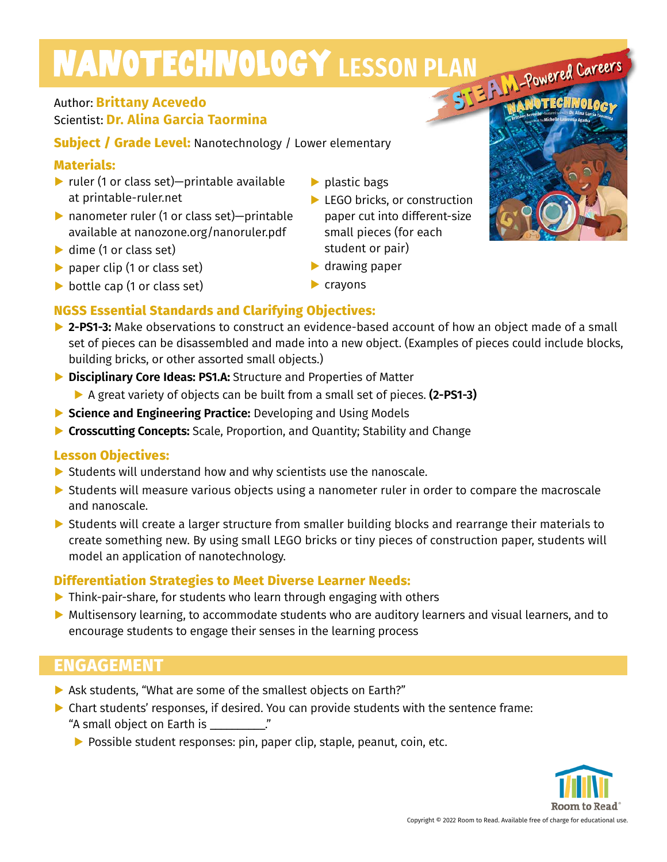# NANOTECHNOLOGY LESSON PLAN<br>Author: Brittany Acquests

# Author: **Brittany Acevedo** Scientist: **Dr. Alina Garcia Taormina**

**Subject / Grade Level: Nanotechnology / Lower elementary** 

## **Materials:**

- **▶** ruler (1 or class set)—printable available at printable-ruler.net
- **▶** nanometer ruler (1 or class set)—printable available at nanozone.org/nanoruler.pdf
- **▶** dime (1 or class set)
- **▶** paper clip (1 or class set)
- **▶** bottle cap (1 or class set)
- **▶** plastic bags
- ▶ LEGO bricks, or construction paper cut into different-size small pieces (for each student or pair)
- **▶** drawing paper
- **▶** crayons



- **▶ 2-PS1-3:** Make observations to construct an evidence-based account of how an object made of a small set of pieces can be disassembled and made into a new object. (Examples of pieces could include blocks, building bricks, or other assorted small objects.)
- **▶ Disciplinary Core Ideas: PS1.A:** Structure and Properties of Matter
	- **▶** A great variety of objects can be built from a small set of pieces. **(2-PS1-3)**
- **▶ Science and Engineering Practice:** Developing and Using Models
- **▶ Crosscutting Concepts:** Scale, Proportion, and Quantity; Stability and Change

## **Lesson Objectives:**

- **▶** Students will understand how and why scientists use the nanoscale.
- ▶ Students will measure various objects using a nanometer ruler in order to compare the macroscale and nanoscale.
- ▶ Students will create a larger structure from smaller building blocks and rearrange their materials to create something new. By using small LEGO bricks or tiny pieces of construction paper, students will model an application of nanotechnology.

# **Differentiation Strategies to Meet Diverse Learner Needs:**

- **▶** Think-pair-share, for students who learn through engaging with others
- ▶ Multisensory learning, to accommodate students who are auditory learners and visual learners, and to encourage students to engage their senses in the learning process

# **ENGAGEMENT**

- ▶ Ask students, "What are some of the smallest objects on Earth?"
- ▶ Chart students' responses, if desired. You can provide students with the sentence frame: "A small object on Earth is \_\_\_\_\_\_\_\_\_\_."
	- ▶ Possible student responses: pin, paper clip, staple, peanut, coin, etc.





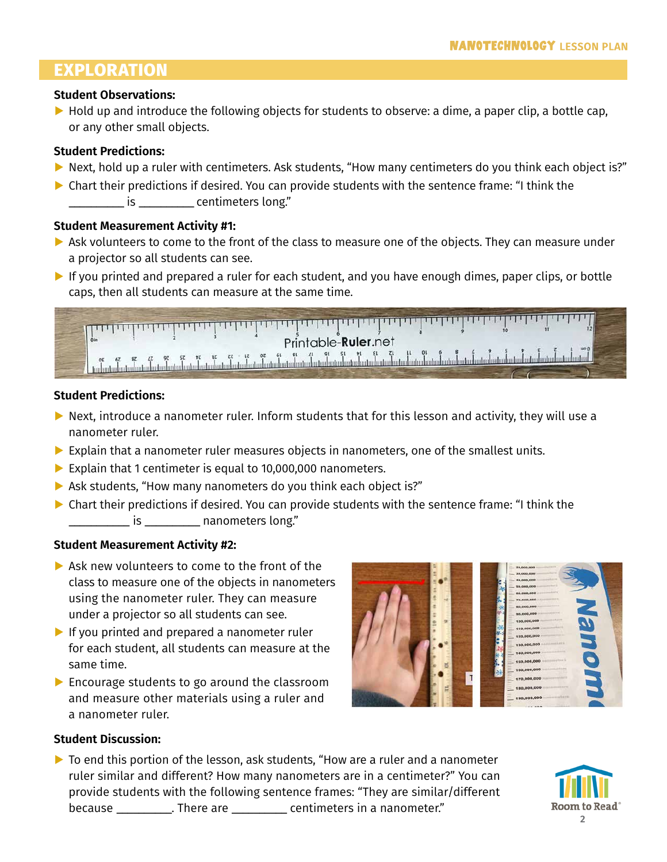# **EXPLORATION**

#### **Student Observations:**

**▶** Hold up and introduce the following objects for students to observe: a dime, a paper clip, a bottle cap, or any other small objects.

#### **Student Predictions:**

- **▶** Next, hold up a ruler with centimeters. Ask students, "How many centimeters do you think each object is?"
- ▶ Chart their predictions if desired. You can provide students with the sentence frame: "I think the \_\_\_\_\_\_\_\_\_\_ is \_\_\_\_\_\_\_\_\_\_ centimeters long."

#### **Student Measurement Activity #1:**

- ▶ Ask volunteers to come to the front of the class to measure one of the objects. They can measure under a projector so all students can see.
- ▶ If you printed and prepared a ruler for each student, and you have enough dimes, paper clips, or bottle caps, then all students can measure at the same time.



#### **Student Predictions:**

- ▶ Next, introduce a nanometer ruler. Inform students that for this lesson and activity, they will use a nanometer ruler.
- **▶** Explain that a nanometer ruler measures objects in nanometers, one of the smallest units.
- **▶** Explain that 1 centimeter is equal to 10,000,000 nanometers.
- ▶ Ask students, "How many nanometers do you think each object is?"
- ▶ Chart their predictions if desired. You can provide students with the sentence frame: "I think the  $\overline{\phantom{a}}$  is \_\_\_\_\_\_\_\_\_\_\_ nanometers long."

#### **Student Measurement Activity #2:**

- **▶** Ask new volunteers to come to the front of the class to measure one of the objects in nanometers using the nanometer ruler. They can measure under a projector so all students can see.
- ▶ If you printed and prepared a nanometer ruler for each student, all students can measure at the same time.
- **▶** Encourage students to go around the classroom and measure other materials using a ruler and a nanometer ruler.



#### **Student Discussion:**

▶ To end this portion of the lesson, ask students, "How are a ruler and a nanometer ruler similar and different? How many nanometers are in a centimeter?" You can provide students with the following sentence frames: "They are similar/different because \_\_\_\_\_\_\_\_\_\_. There are \_\_\_\_\_\_\_\_\_\_ centimeters in a nanometer."

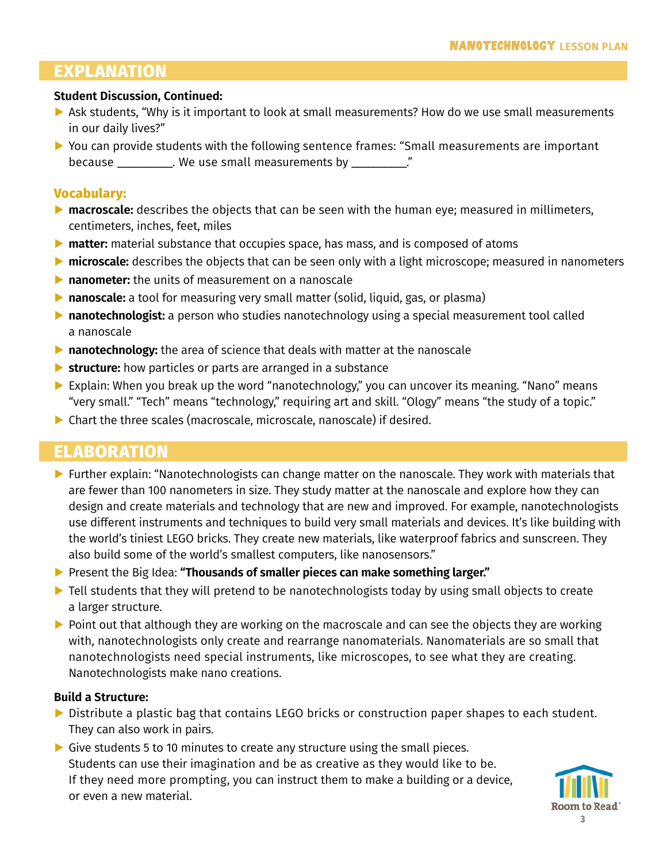# **EXPLANATION**

#### **Student Discussion, Continued:**

- **▶** Ask students, "Why is it important to look at small measurements? How do we use small measurements in our daily lives?"
- ▶ You can provide students with the following sentence frames: "Small measurements are important because entity of the use small measurements by  $\blacksquare$

### **Vocabulary:**

- **▶ macroscale:** describes the objects that can be seen with the human eye; measured in millimeters, centimeters, inches, feet, miles
- **▶ matter:** material substance that occupies space, has mass, and is composed of atoms
- **▶ microscale:** describes the objects that can be seen only with a light microscope; measured in nanometers
- **▶ nanometer:** the units of measurement on a nanoscale
- **▶ nanoscale:** a tool for measuring very small matter (solid, liquid, gas, or plasma)
- **▶ nanotechnologist:** a person who studies nanotechnology using a special measurement tool called a nanoscale
- **▶ nanotechnology:** the area of science that deals with matter at the nanoscale
- **▶ structure:** how particles or parts are arranged in a substance
- **▶** Explain: When you break up the word "nanotechnology," you can uncover its meaning. "Nano" means "very small." "Tech" means "technology," requiring art and skill. "Ology" means "the study of a topic."
- **▶** Chart the three scales (macroscale, microscale, nanoscale) if desired.

# **ELABORATION**

- ▶ Further explain: "Nanotechnologists can change matter on the nanoscale. They work with materials that are fewer than 100 nanometers in size. They study matter at the nanoscale and explore how they can design and create materials and technology that are new and improved. For example, nanotechnologists use different instruments and techniques to build very small materials and devices. It's like building with the world's tiniest LEGO bricks. They create new materials, like waterproof fabrics and sunscreen. They also build some of the world's smallest computers, like nanosensors."
- **▶** Present the Big Idea: **"Thousands of smaller pieces can make something larger."**
- ▶ Tell students that they will pretend to be nanotechnologists today by using small objects to create a larger structure.
- ▶ Point out that although they are working on the macroscale and can see the objects they are working with, nanotechnologists only create and rearrange nanomaterials. Nanomaterials are so small that nanotechnologists need special instruments, like microscopes, to see what they are creating. Nanotechnologists make nano creations.

#### **Build a Structure:**

- ▶ Distribute a plastic bag that contains LEGO bricks or construction paper shapes to each student. They can also work in pairs.
- ▶ Give students 5 to 10 minutes to create any structure using the small pieces. Students can use their imagination and be as creative as they would like to be. If they need more prompting, you can instruct them to make a building or a device, or even a new material.